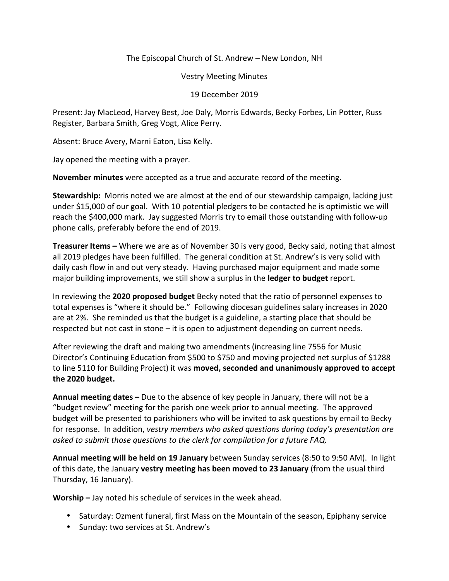The Episcopal Church of St. Andrew – New London, NH

Vestry Meeting Minutes

## 19 December 2019

Present: Jay MacLeod, Harvey Best, Joe Daly, Morris Edwards, Becky Forbes, Lin Potter, Russ Register, Barbara Smith, Greg Vogt, Alice Perry.

Absent: Bruce Avery, Marni Eaton, Lisa Kelly.

Jay opened the meeting with a prayer.

**November minutes** were accepted as a true and accurate record of the meeting.

**Stewardship:** Morris noted we are almost at the end of our stewardship campaign, lacking just under \$15,000 of our goal. With 10 potential pledgers to be contacted he is optimistic we will reach the \$400,000 mark. Jay suggested Morris try to email those outstanding with follow-up phone calls, preferably before the end of 2019.

**Treasurer Items –** Where we are as of November 30 is very good, Becky said, noting that almost all 2019 pledges have been fulfilled. The general condition at St. Andrew's is very solid with daily cash flow in and out very steady. Having purchased major equipment and made some major building improvements, we still show a surplus in the **ledger to budget** report.

In reviewing the **2020 proposed budget** Becky noted that the ratio of personnel expenses to total expenses is "where it should be." Following diocesan guidelines salary increases in 2020 are at 2%. She reminded us that the budget is a guideline, a starting place that should be respected but not cast in stone – it is open to adjustment depending on current needs.

After reviewing the draft and making two amendments (increasing line 7556 for Music Director's Continuing Education from \$500 to \$750 and moving projected net surplus of \$1288 to line 5110 for Building Project) it was **moved, seconded and unanimously approved to accept the 2020 budget.** 

**Annual meeting dates –** Due to the absence of key people in January, there will not be a "budget review" meeting for the parish one week prior to annual meeting. The approved budget will be presented to parishioners who will be invited to ask questions by email to Becky for response. In addition, *vestry members who asked questions during today's presentation are asked to submit those questions to the clerk for compilation for a future FAQ.* 

**Annual meeting will be held on 19 January** between Sunday services (8:50 to 9:50 AM). In light of this date, the January **vestry meeting has been moved to 23 January** (from the usual third Thursday, 16 January).

**Worship –** Jay noted his schedule of services in the week ahead.

- Saturday: Ozment funeral, first Mass on the Mountain of the season, Epiphany service
- Sunday: two services at St. Andrew's